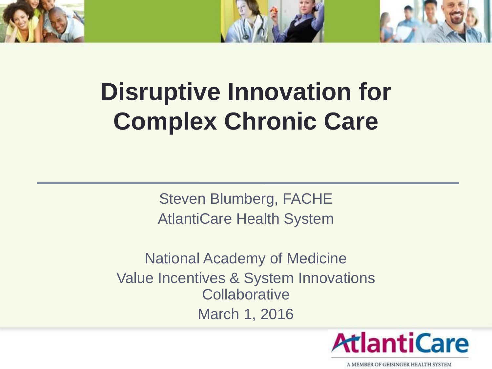

# **Disruptive Innovation for Complex Chronic Care**

Steven Blumberg, FACHE AtlantiCare Health System

National Academy of Medicine Value Incentives & System Innovations **Collaborative** March 1, 2016

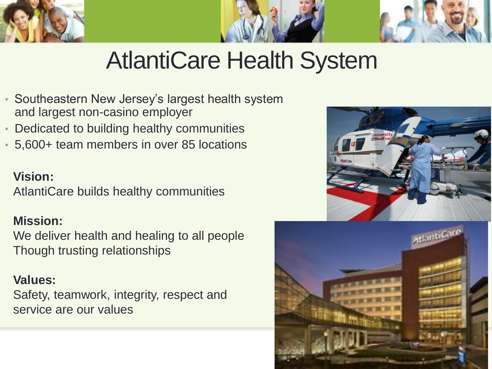



- Southeastern New Jersey's largest health system and largest non-casino employer
- Dedicated to building healthy communities
- 5,600+ team members in over 85 locations

#### **Vision:**

AtlantiCare builds healthy communities

#### **Mission:**

We deliver health and healing to all people Though trusting relationships

#### **Values:**

Safety, teamwork, integrity, respect and service are our values



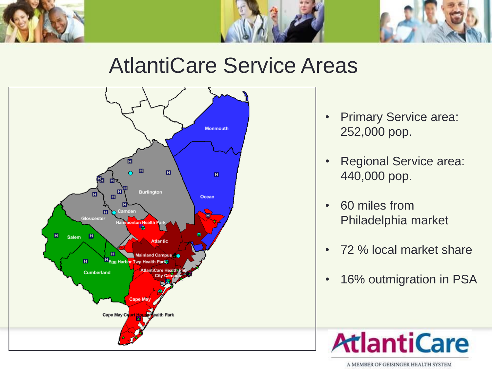



### AtlantiCare Service Areas



- Primary Service area: 252,000 pop.
- Regional Service area: 440,000 pop.
- 60 miles from Philadelphia market
- 72 % local market share
- 16% outmigration in PSA

# **AtlantiCare**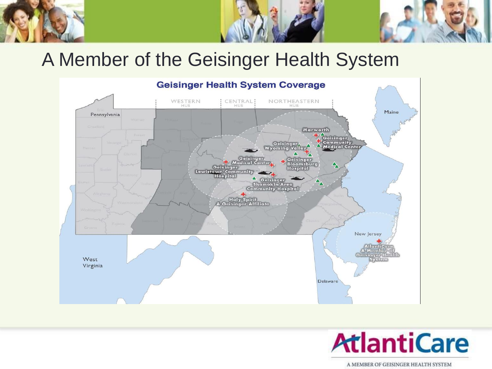### A Member of the Geisinger Health System



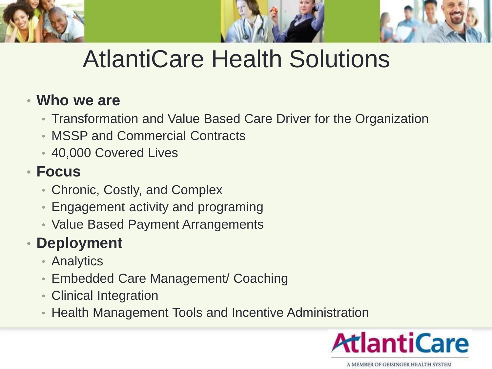

# AtlantiCare Health Solutions

### • **Who we are**

- Transformation and Value Based Care Driver for the Organization
- MSSP and Commercial Contracts
- 40,000 Covered Lives

### • **Focus**

- Chronic, Costly, and Complex
- Engagement activity and programing
- Value Based Payment Arrangements

### • **Deployment**

- Analytics
- Embedded Care Management/ Coaching
- Clinical Integration
- Health Management Tools and Incentive Administration

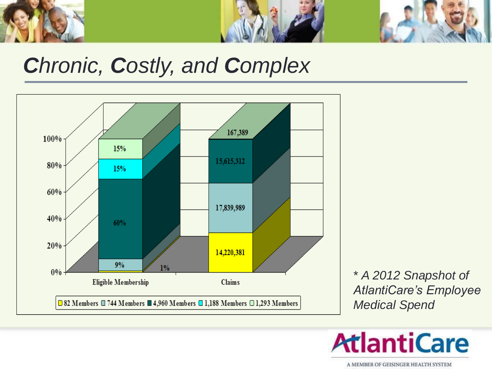



### *Chronic, Costly, and Complex*



\* *A 2012 Snapshot of AtlantiCare's Employee Medical Spend*

**AtlantiCare**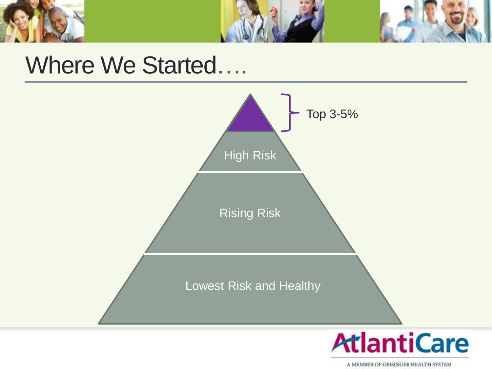

### Where We Started….

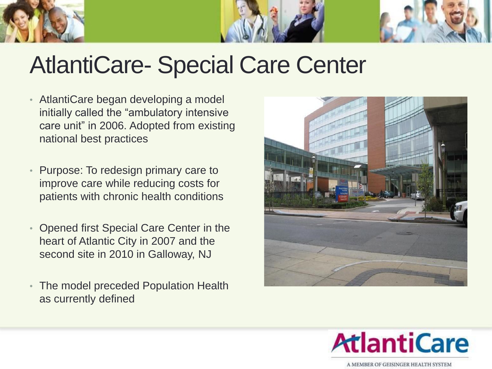

### AtlantiCare- Special Care Center

- AtlantiCare began developing a model initially called the "ambulatory intensive care unit" in 2006. Adopted from existing national best practices
- Purpose: To redesign primary care to improve care while reducing costs for patients with chronic health conditions
- Opened first Special Care Center in the heart of Atlantic City in 2007 and the second site in 2010 in Galloway, NJ
- The model preceded Population Health as currently defined



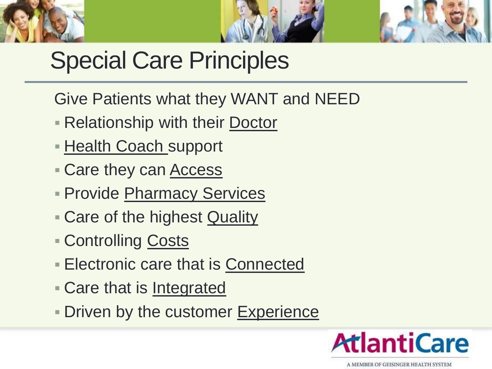



# Special Care Principles

- Give Patients what they WANT and NEED
- **Relationship with their Doctor**
- **Health Coach support**
- **Care they can Access**
- **Provide Pharmacy Services**
- Care of the highest Quality
- **Controlling Costs**
- Electronic care that is Connected
- Care that is Integrated
- Driven by the customer Experience

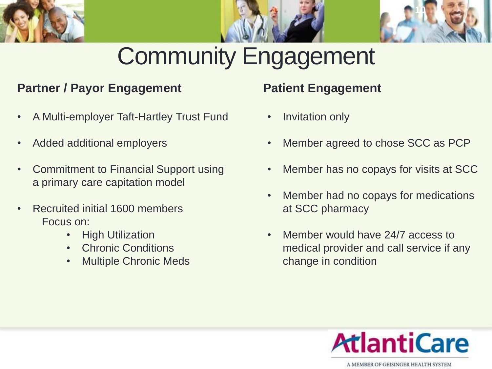



#### **Partner / Payor Engagement**

- A Multi-employer Taft-Hartley Trust Fund
- Added additional employers
- Commitment to Financial Support using a primary care capitation model
- Recruited initial 1600 members Focus on:
	- High Utilization
	- Chronic Conditions
	- Multiple Chronic Meds

#### **Patient Engagement**

- Invitation only
- Member agreed to chose SCC as PCP

**10**

- Member has no copays for visits at SCC
- Member had no copays for medications at SCC pharmacy
- Member would have 24/7 access to medical provider and call service if any change in condition

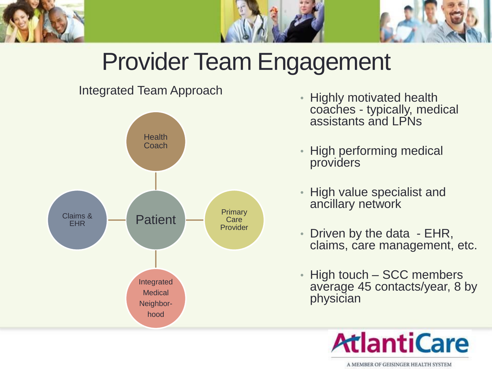

# Provider Team Engagement

#### Integrated Team Approach



- Highly motivated health coaches - typically, medical assistants and LPNs
- High performing medical providers
- High value specialist and ancillary network
- Driven by the data EHR, claims, care management, etc.
- High touch SCC members average 45 contacts/year, 8 by physician

# **AtlantiCare**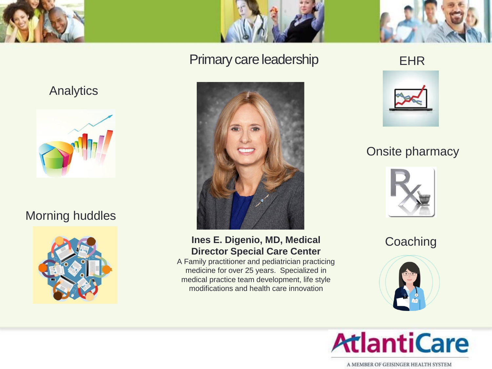



#### Primary care leadership



#### **Ines E. Digenio, MD, Medical Director Special Care Center**

A Family practitioner and pediatrician practicing medicine for over 25 years. Specialized in medical practice team development, life style modifications and health care innovation

EHR



#### Onsite pharmacy



**Coaching** 



# **AtlantiCare**

A MEMBER OF GEISINGER HEALTH SYSTEM

#### **Analytics**



#### Morning huddles

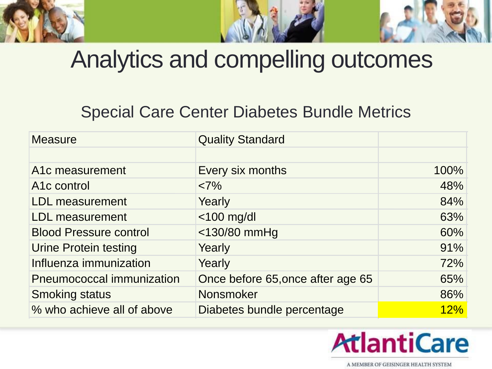## Analytics and compelling outcomes

### Special Care Center Diabetes Bundle Metrics

| <b>Measure</b>                | <b>Quality Standard</b>           |      |
|-------------------------------|-----------------------------------|------|
|                               |                                   |      |
| A1c measurement               | Every six months                  | 100% |
| A <sub>1</sub> c control      | <7%                               | 48%  |
| <b>LDL</b> measurement        | Yearly                            | 84%  |
| <b>LDL</b> measurement        | $<$ 100 mg/dl                     | 63%  |
| <b>Blood Pressure control</b> | <130/80 mmHg                      | 60%  |
| <b>Urine Protein testing</b>  | Yearly                            | 91%  |
| Influenza immunization        | Yearly                            | 72%  |
| Pneumococcal immunization     | Once before 65, once after age 65 | 65%  |
| <b>Smoking status</b>         | Nonsmoker                         | 86%  |
| % who achieve all of above    | Diabetes bundle percentage        | 12%  |

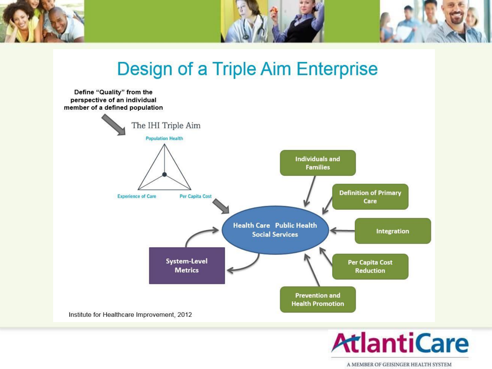

**Design of a Triple Aim Enterprise** 



# **AtlantiCare**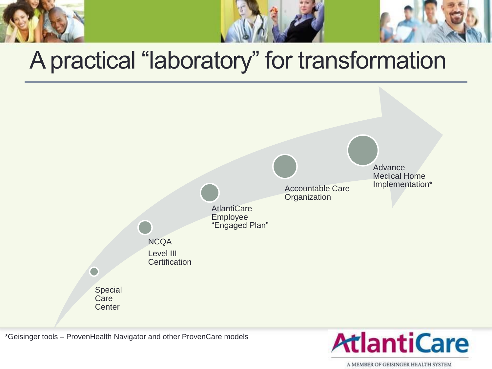# A practical "laboratory" for transformation



\*Geisinger tools – ProvenHealth Navigator and other ProvenCare models

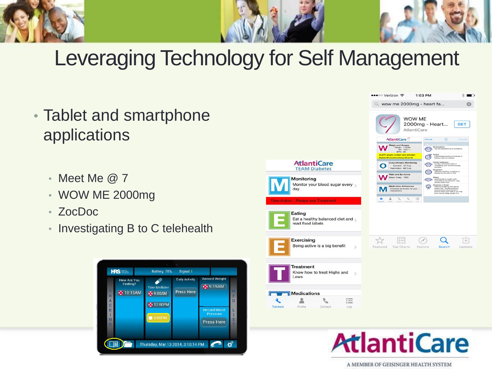

### Leveraging Technology for Self Management

Trackers

- Tablet and smartphone applications
	- Meet Me @ 7
	- WOW ME 2000mg
	- ZocDoc
	- Investigating B to C telehealth





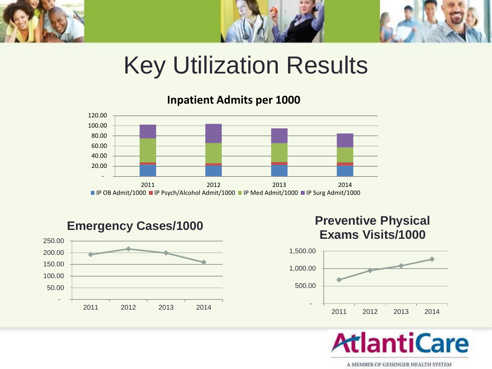

## Key Utilization Results

**Inpatient Admits per 1000**





**Preventive Physical Exams Visits/1000**



**AtlantiCare**